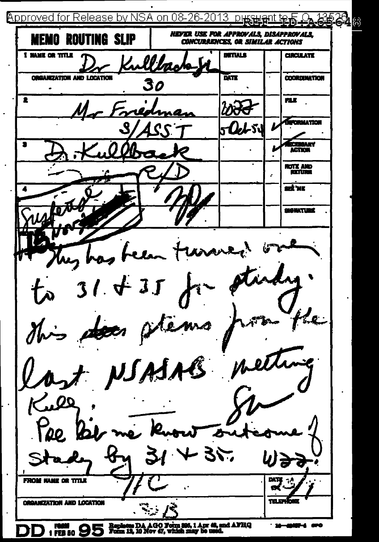Approved for Release by NSA on 08-26 窩 **NEVER USE FOR APPROVALS. DISAPPROVALS.** MEMO ROUTING SLIP **CONCURRENCES, OR SIMILAR ACTIONS DITIALS**  $T = T$ I NAME OR TITLE  $\mathcal{L}$ **ORGANIZATION AND LOCATION**  $\overline{\mathbf{M}}$ **COORDUMTION** 30  $\overline{\bullet}$ mix. .<br>ENDY ATION .S.I .<br>Liny **ACTION KOTZ AND KETURN** ब्ले भर **SIGNATION**  $\mathbb{R}^2$  $\mathcal{L}$ re la  $1.431$ Nems  $\gamma_{\nu}$ yzen ISASAB met V, ∕.00 mu **ORGANIZATION AND LOCATION** Repleces DA AGO Form 395, 1 Apr 48, and AFHQ<br>Form 12, 10 Nov 47, which may be used. ر سبب<br>| FEB 50 f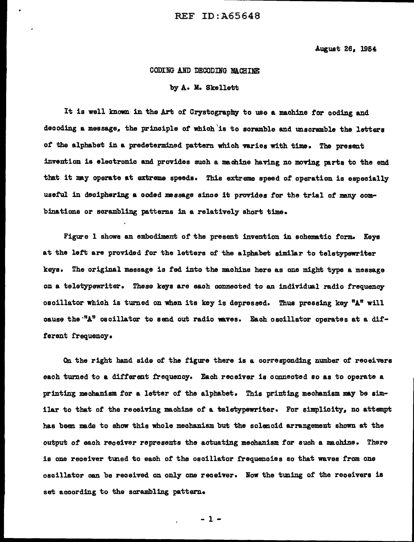August 26, 1954

### CODING AND DECODING MA.CHINE:

#### by A. M. Skellett

It is well known in the Art of Crystography to use a machine for coding and decoding a message, the principle of which is to scramble and unscramble the letters of the alphabet in a predetermined pattern which varies with time. The present invention is electronic and provides such a machine having no moving parts to the end that it may operate at extreme speeds. This extreme speed of operation is especially useful in deciphering a coded message since it provides for the trial of many combinations or scrambling patterns in a relatively short time.

Figure l shows an embodiment of the present invention in schematic form. Keys at the left are provided for the letters of the alphabet similar to teletypewriter keys. The original message is fed into the nachine here as one might type a message on a teletypewriter. These keys are each connected to an individual radio frequencyoscillator which is turned on when its key is depressed. Thus pressing key "A" will cause the "A" oscillator to send out radio waves. Each oscillator operates at a different frequency.

On the right hand side of the figure there is a corresponding number of receivers each turned to a different frequency. Each receiver is connected so as to operate a printing mechanism for a letter of the alphabet. This printing mechanism may be similar to that of the receiving machine of a teletypewriter. For simplicity, no attempt has been nade to show this whole mechanism but the solenoid arrangement shown at the output of each receiver represents the actuating mechanism for such a machine. There is one receiver tuned to each of the oscillator frequencies so that waves from one oscillator can be received on only one receiver. Now the tuning of the receivers is set according to the scrambling pattern.

 $-1 -$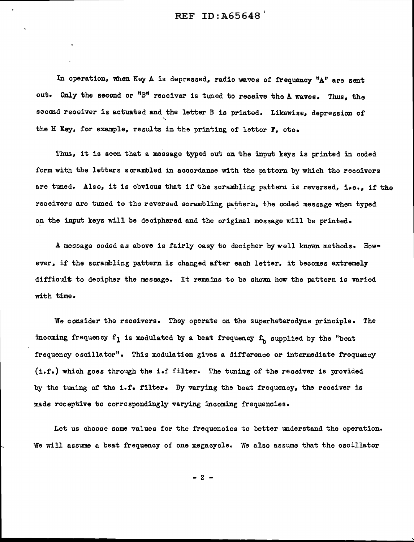In operation, when Key A is depressed, radio waves of frequency "A" are sent out. Only the second or "B" receiver is tuned to receive the A waves. Thus, the second receiver is actuated and the letter B is printed. Likewise, depression of the H Key, for example, results in the printing of letter F, etc.

Thus. it is seen that a message typed out on the input keys is printed in coded form with the letters scrambled in accordance with the pattern by which the receivers are tuned. Also, it is obvious that if the scrambling pattern is reversed, i.e., if the receivers are tuned to the reversed scrambling pattern, the coded message when typed on the input keys will be deciphered and the original message will be printed.

A message coded as above is fairly easy to decipher by well known methods. However, if the scrambling pattern is changed after each letter, it becomes extremely difficult to decipher the message. It remains to be shown how the pattern is varied with time.

We consider the receivers. They operate on the superheterodyne principle. The incoming frequency  $f_1$  is modulated by a beat frequency  $f_b$  supplied by the "beat frequency oscillator". This modulation gives a difference or intermediate frequency (i.£.) which goes through the i.f filter. The tuning of the receiver is provided by the tuning of the i.f. filter. By varying the beat frequency, the receiver is made receptive to correspondingly varying incoming frequencies.

Let us choose some values for the frequencies to better understand the operation. We will assume a beat frequency of one megacycle. We also assume that the oscillator

 $-2 -$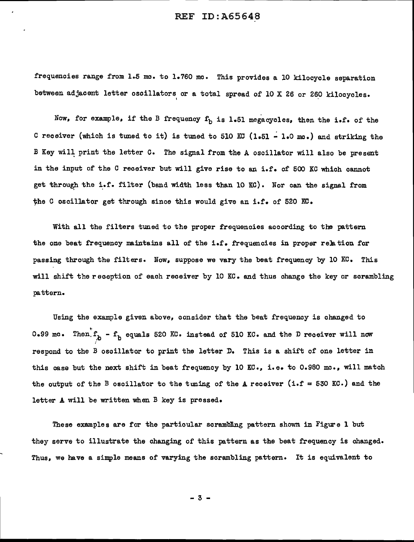frequencies range from 1.5 mc. to 1.760 mc. This provides a 10 kilocycle separation between adjacent letter oscillators or a total spread of 10 X 26 or 260 kilocycles.

Now, for example, if the B frequency  $f_b$  is 1.51 megacycles, then the i.f. of the C receiver (which is tuned to it) is tuned to 510 KC (1.51 ~ l.O mo.) and striking the B Key will print the letter C. The signal from the A oscillator will also be present in the input of the C receiver but will give rise to an i.f. of 500 KC which cannot get through the i.f. filter (band width less than 10 KC). Nor can the signal from the C oscillator get through since this would give an i.f. of 520  $KCS$ .

With all the filters tuned to the proper frequencies according to the pattern the one beat frequency maintains all of the i.f. frequencies in proper relation for<br>passing through the filters. Now, suppose we vary the beat frequency by 10 KC. This will shift the reception of each receiver by 10 KC. and thus change the key or scrambling pattern.

Using the example given above, consider that the beat frequency is changed to 0.99 mc. Then.f<sub>h</sub> - f<sub>h</sub> equals 520 KC. instead of 510 KC. and the D receiver will now respond to the B oscillator to print the letter D. This is a shift of one letter in this case but the next shift in beat frequency by 10 KC., i.e. to 0.980 mo., will match the output of the B oscillator to the tuning of the A receiver (i.f = 530 KC.) and the letter A will be written when B key is pressed.

These examples are for the particular scrambling pattern shown in Figure 1 but they serve to illustrate the changing of this pattern as the beat frequency is changed. Thus, we have a simple means of varying the scrambling pattern. It is equivalent to

- 3 -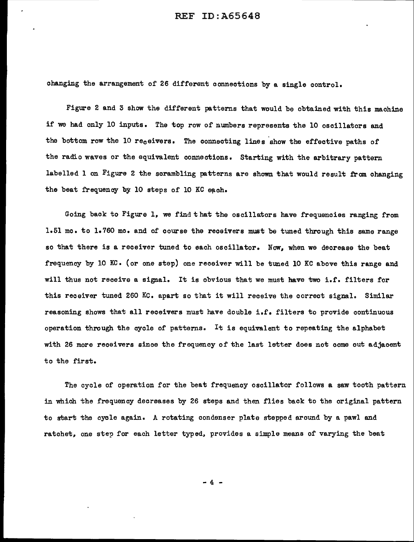changing the arrangement of 26 different connections by a single control.

Figure 2 and 3 show the different patterns that would be obtained with this machine if we had only 10 inputs. The top row of numbers represents the 10 oscillators and the bottom row the 10 receivers. The connecting lines show the effective paths of the radio waves or the equivalent connections. Starting with the arbitrary pattern labelled 1 on Figure 2 the scrambling patterns are shown that would result from changing the beat frequency by 10 steps of 10 KC each.

Going back to Figure 1, we find that the oscillators have frequencies ranging from 1.51 mo. to 1.760 mo. and of course the receivers must be tuned through this same range so that there is a receiver tuned to each oscillator. Now, when we decrease the beat frequency by 10 KC. (or one step) one receiver will be tuned 10 KC above this range and will thus not receive a signal. It is obvious that we must have two i.f. filters for this receiver tuned 260 Kc. apart so that it will receive the correct signal. Similar reasoning shows that all receivers must have double i.f. filters to provide continuous operation through the cycle of patterns. It is equivalent to repeating the alphabet with 26 more receivers since the frequency of the last letter does not come out adjacent to the first.

The cycle of operation for the beat frequency oscillator follows a saw tooth pattern in which the frequency decreases by 26 steps and then flies back to the original pattern to start the cycle again. A rotating condenser plate stepped around by a pawl and ratchet, one step for each letter typed, provides a simple means of varying the beat

- 4 -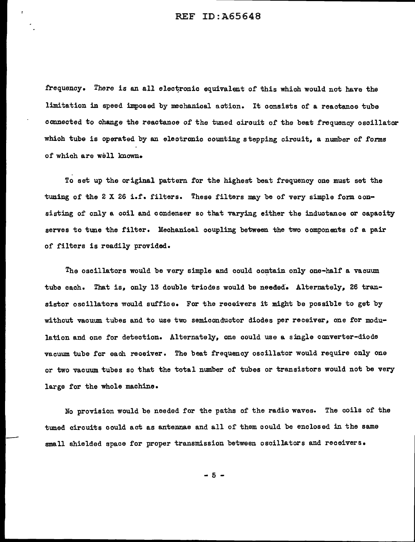frequency. There is an all electronic equivalent of this which would not have the limitation in speed imposed by mechanical action. It consists of a reactanoe tube connected to change the reactance of the tuned circuit of the beat frequency oscillator which tube is operated by an electronic counting stepping circuit, a number of forms of which are well known.

To set up the original pattern for the highest beat frequency one must set the tuning of the 2 X 26 i.f. filters. These filters may be of very simple form consisting of only a coil and condenser so that varying either the inductance or capacity serves to tune the filter. Mechanical coupling between the two components of a pair of filters is readily provided.

The oscillators would be very simple and could contain only one-half a vacuum tube each. That is, only 13 double triodes would be needed. Alternately, 26 transistor oscillators would suffice. For the receivers it might be possible to get by without vacuum tubes and to use two semiconductor diodes per receiver, one for modulation and one for detection. Alternately, one could use a single converter-diode vacuum tube for eaah receiver. The beat frequency oscillator would require only one or two vacuum tubes so that the total number of tubes or transistors would not be very large for the whole machine.

No provision would be needed for the paths of' the radio waves. The coils of the tuned circuits could act as antennae and all of' them could be enclosed in the same small shielded space for proper transmission between oscillators and receivers.

 $-5 -$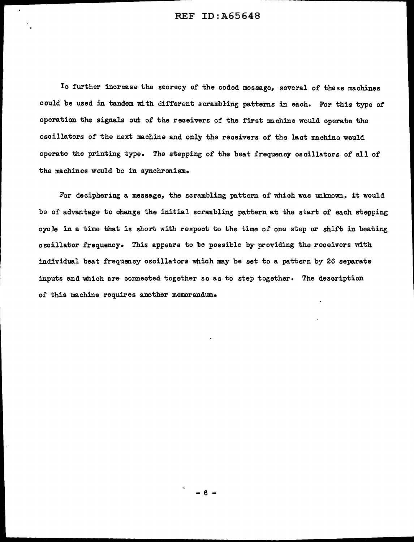To further increase the secrecy of the coded message, several of these machines could be used in tandem with different scrambling patterns in each. For this type of operation the signals out of the receivers of the first machine would operate the oscillators of the next machine and only the receivers of the last machine would operate the printing type. The stepping of the beat frequency oscillators of all of the machines would be in synchronism.

For deciphering a message, the scrambling pattern of which was unknown, it would be of advantage to change the initial scrambling pattern at the start of each stepping cycle in a time that is short with respect to the time of one step or shift in beating oscillator frequency. This appears to be possible by providing the receivers with individual beat frequency oscillators which may be set to a pattern by 26 separate inputs and which are connected together so as to step together. The description of this machine requires another memorandum.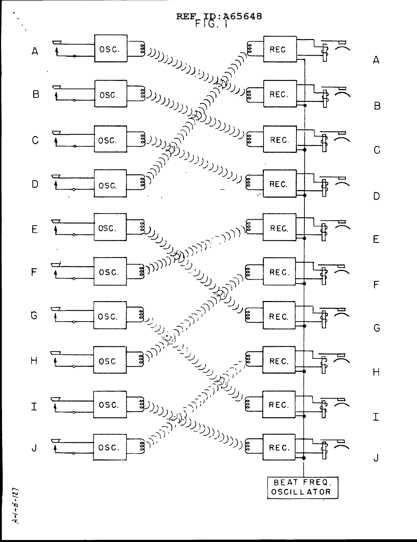

 $A - i - 5 - 127$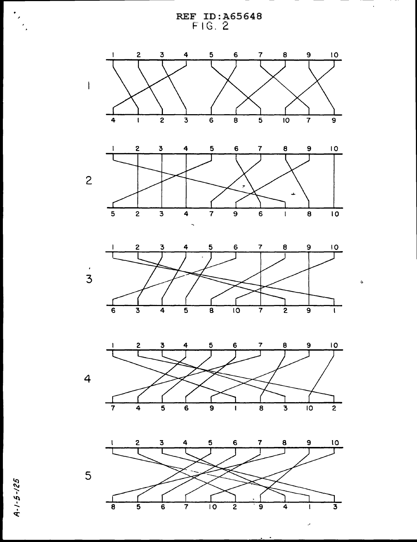











..

 $\epsilon$ 

 $\ddot{\phi}$ 

2/-5°. q:'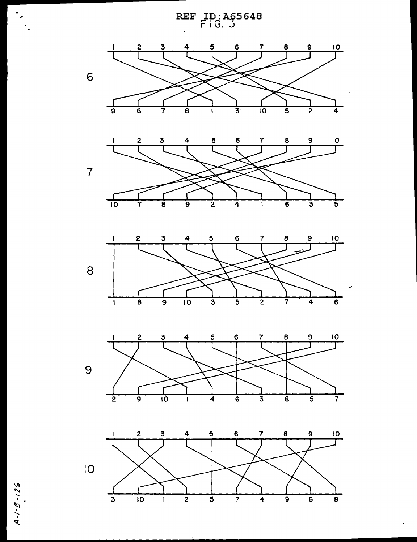

 $A - 1 - 5 - 126$